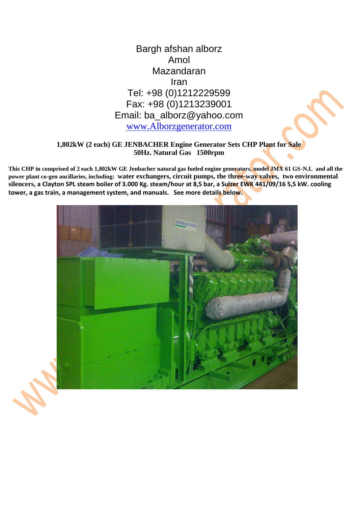

### **1,802kW (2 each) GE JENBACHER Engine Generator Sets CHP Plant for Sale 50Hz. Natural Gas 1500rpm**

**This CHP in comprised of 2 each 1,802kW GE Jenbacher natural gas fueled engine generators, model JMX 61 GS-N.L and all the power plant co-gen ancillaries, including: water exchangers, circuit pumps, the three-way valves, two environmental silencers, a Clayton SPL steam boiler of 3.000 Kg. steam/hour at 8,5 bar, a Sulzer EWK 441/09/16 5,5 kW. cooling tower, a gas train, a management system, and manuals. See more details below.**

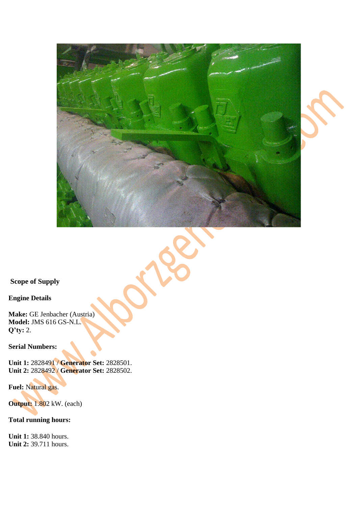





**Scope of Supply** 

**Engine Details** 

**Make:** GE Jenbacher (Austria) **Model:** JMS 616 GS-N.L. **Q'ty:** 2.

**Serial Numbers:**

**Unit 1:** 2828491 / **Generator Set:** 2828501. **Unit 2:** 2828492 / **Generator Set:** 2828502.

**Fuel:** Natural gas.

**Output: 1.802 kW. (each)** 

**Total running hours:** 

**Unit 1:** 38.840 hours. **Unit 2:** 39.711 hours.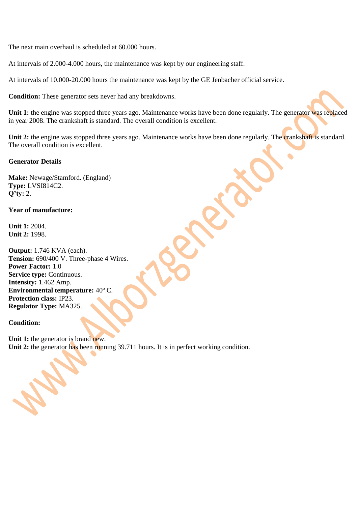The next main overhaul is scheduled at 60.000 hours.

At intervals of 2.000-4.000 hours, the maintenance was kept by our engineering staff.

At intervals of 10.000-20.000 hours the maintenance was kept by the GE Jenbacher official service.

**Condition:** These generator sets never had any breakdowns.

Unit 1: the engine was stopped three years ago. Maintenance works have been done regularly. The generator was replaced in year 2008. The crankshaft is standard. The overall condition is excellent.

Unit 2: the engine was stopped three years ago. Maintenance works have been done regularly. The crankshaft is standard. The overall condition is excellent.

### **Generator Details**

**Make:** Newage/Stamford. (England) **Type:** LVSI814C2. **Q'ty:** 2.

#### **Year of manufacture:**

**Unit 1:** 2004. **Unit 2:** 1998.

**Output:** 1.746 KVA (each). **Tension:** 690/400 V. Three-phase 4 Wires. **Power Factor:** 1.0 **Service type: Continuous. Intensity:** 1.462 Amp. **Environmental temperature:** 40º C. **Protection class:** IP23. **Regulator Type:** MA325.

### **Condition:**

Unit 1: the generator is brand new. Unit 2: the generator has been running 39.711 hours. It is in perfect working condition.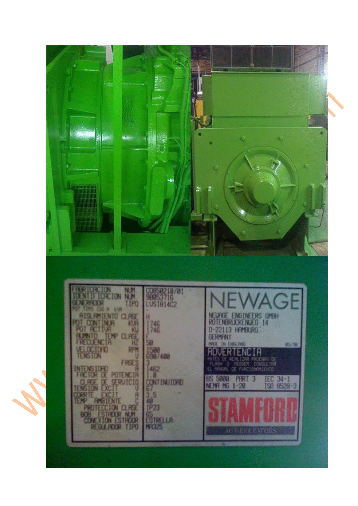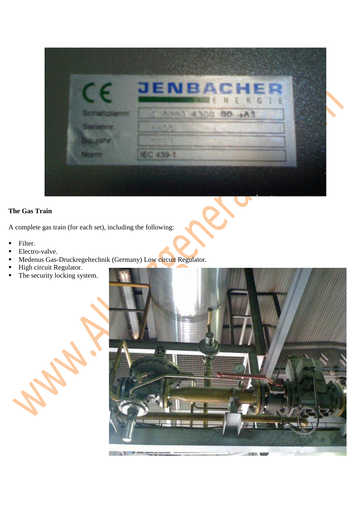

# **The Gas Train**

A complete gas train (for each set), including the following:

- **Filter.**
- Electro-valve.
- Medenus Gas-Druckregeltechnik (Germany) Low circuit Regulator.
- **High circuit Regulator.**
- The security locking system.

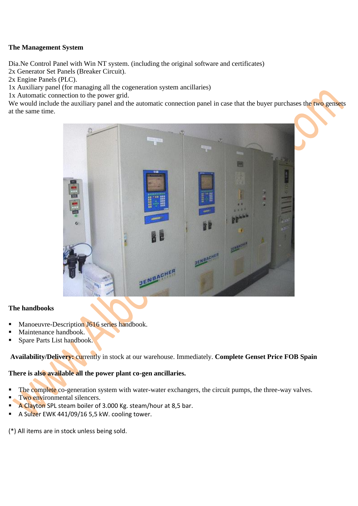### **The Management System**

Dia.Ne Control Panel with Win NT system. (including the original software and certificates)

2x Generator Set Panels (Breaker Circuit).

2x Engine Panels (PLC).

1x Auxiliary panel (for managing all the cogeneration system ancillaries)

1x Automatic connection to the power grid.

We would include the auxiliary panel and the automatic connection panel in case that the buyer purchases the two gensets at the same time.



### **The handbooks**

- Manoeuvre-Description J616 series handbook.
- Maintenance handbook.
- Spare Parts List handbook.

**Availability/Delivery:** currently in stock at our warehouse. Immediately. **Complete Genset Price FOB Spain** 

# **There is also available all the power plant co-gen ancillaries.**

- The complete co-generation system with water-water exchangers, the circuit pumps, the three-way valves.
- Two environmental silencers.
- A Clayton SPL steam boiler of 3.000 Kg. steam/hour at 8,5 bar.
- A Sulzer EWK 441/09/16 5,5 kW. cooling tower.

(\*) All items are in stock unless being sold.